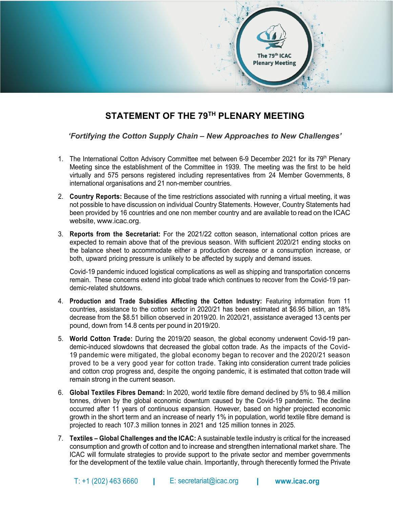

## **STATEMENT OF THE 79TH PLENARY MEETING**

*'Fortifying the Cotton Supply Chain – New Approaches to New Challenges'*

- 1. The International Cotton Advisory Committee met between 6-9 December 2021 for its 79<sup>th</sup> Plenary Meeting since the establishment of the Committee in 1939. The meeting was the first to be held virtually and 575 persons registered including representatives from 24 Member Governments, 8 international organisations and 21 non-member countries.
- 2. **Country Reports:** Because of the time restrictions associated with running a virtual meeting, it was not possible to have discussion on individual Country Statements. However, Country Statements had been provided by 16 countries and one non member country and are available to read on the ICAC website, www.icac.org.
- 3. **Reports from the Secretariat:** For the 2021/22 cotton season, international cotton prices are expected to remain above that of the previous season. With sufficient 2020/21 ending stocks on the balance sheet to accommodate either a production decrease or a consumption increase, or both, upward pricing pressure is unlikely to be affected by supply and demand issues.

Covid-19 pandemic induced logistical complications as well as shipping and transportation concerns remain. These concerns extend into global trade which continues to recover from the Covid-19 pandemic-related shutdowns.

- 4. **Production and Trade Subsidies Affecting the Cotton Industry:** Featuring information from 11 countries, assistance to the cotton sector in 2020/21 has been estimated at \$6.95 billion, an 18% decrease from the \$8.51 billion observed in 2019/20. In 2020/21, assistance averaged 13 cents per pound, down from 14.8 cents per pound in 2019/20.
- 5. **World Cotton Trade:** During the 2019/20 season, the global economy underwent Covid-19 pandemic-induced slowdowns that decreased the global cotton trade. As the impacts of the Covid-19 pandemic were mitigated, the global economy began to recover and the 2020/21 season proved to be a very good year for cotton trade. Taking into consideration current trade policies and cotton crop progress and, despite the ongoing pandemic, it is estimated that cotton trade will remain strong in the current season.
- 6. **Global Textiles Fibres Demand:** In 2020, world textile fibre demand declined by 5% to 98.4 million tonnes, driven by the global economic downturn caused by the Covid-19 pandemic. The decline occurred after 11 years of continuous expansion. However, based on higher projected economic growth in the short term and an increase of nearly 1% in population, world textile fibre demand is projected to reach 107.3 million tonnes in 2021 and 125 million tonnes in 2025.
- 7. **Textiles – Global Challenges and the ICAC:** A sustainable textile industry is critical for the increased consumption and growth of cotton and to increase and strengthen international market share. The ICAC will formulate strategies to provide support to the private sector and member governments for the development of the textile value chain. Importantly, through therecently formed the Private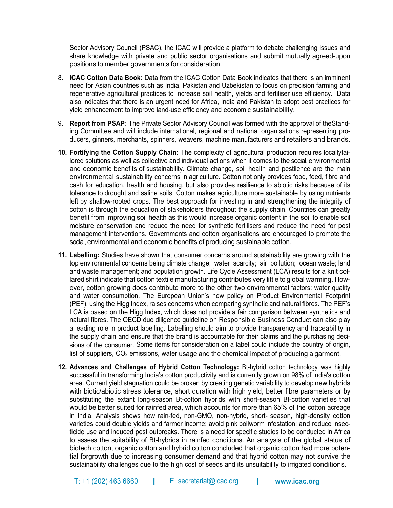Sector Advisory Council (PSAC), the ICAC will provide a platform to debate challenging issues and share knowledge with private and public sector organisations and submit mutually agreed-upon positions to member governments for consideration.

- 8. **ICAC Cotton Data Book:** Data from the ICAC Cotton Data Book indicates that there is an imminent need for Asian countries such as India, Pakistan and Uzbekistan to focus on precision farming and regenerative agricultural practices to increase soil health, yields and fertiliser use efficiency. Data also indicates that there is an urgent need for Africa, India and Pakistan to adopt best practices for yield enhancement to improve land-use efficiency and economic sustainability.
- 9. **Report from PSAP:** The Private Sector Advisory Council was formed with the approval of theStanding Committee and will include international, regional and national organisations representing producers, ginners, merchants, spinners, weavers, machine manufacturers and retailers and brands.
- **10. Fortifying the Cotton Supply Chain:** The complexity of agricultural production requires locallytailored solutions as well as collective and individual actions when it comes to the social, environmental and economic benefits of sustainability. Climate change, soil health and pestilence are the main environmental sustainability concerns in agriculture. Cotton not only provides food, feed, fibre and cash for education, health and housing, but also provides resilience to abiotic risks because of its tolerance to drought and saline soils. Cotton makes agriculture more sustainable by using nutrients left by shallow-rooted crops. The best approach for investing in and strengthening the integrity of cotton is through the education of stakeholders throughout the supply chain. Countries can greatly benefit from improving soil health as this would increase organic content in the soil to enable soil moisture conservation and reduce the need for synthetic fertilisers and reduce the need for pest management interventions. Governments and cotton organisations are encouraged to promote the social, environmental and economic benefits of producing sustainable cotton.
- **11. Labelling:** Studies have shown that consumer concerns around sustainability are growing with the top environmental concerns being climate change; water scarcity; air pollution; ocean waste; land and waste management; and population growth. Life Cycle Assessment (LCA) results for a knit collared shirt indicate that cotton textile manufacturing contributes very little to global warming. However, cotton growing does contribute more to the other two environmental factors: water quality and water consumption. The European Union's new policy on Product Environmental Footprint (PEF), using the Higg Index, raises concerns when comparing synthetic and natural fibres. The PEF's LCA is based on the Higg Index, which does not provide a fair comparison between synthetics and natural fibres. The OECD due diligence guideline on Responsible Business Conduct can also play a leading role in product labelling. Labelling should aim to provide transparency and traceability in the supply chain and ensure that the brand is accountable for their claims and the purchasing decisions of the consumer. Some items for consideration on a label could include the country of origin, list of suppliers,  $CO<sub>2</sub>$  emissions, water usage and the chemical impact of producing a garment.
- **12. Advances and Challenges of Hybrid Cotton Technology:** Bt-hybrid cotton technology was highly successful in transforming India's cotton productivity and is currently grown on 98% of India's cotton area. Current yield stagnation could be broken by creating genetic variability to develop new hybrids with biotic/abiotic stress tolerance, short duration with high yield, better fibre parameters or by substituting the extant long-season Bt-cotton hybrids with short-season Bt-cotton varieties that would be better suited for rainfed area, which accounts for more than 65% of the cotton acreage in India. Analysis shows how rain-fed, non-GMO, non-hybrid, short- season, high-density cotton varieties could double yields and farmer income; avoid pink bollworm infestation; and reduce insecticide use and induced pest outbreaks. There is a need for specific studies to be conducted in Africa to assess the suitability of Bt-hybrids in rainfed conditions. An analysis of the global status of biotech cotton, organic cotton and hybrid cotton concluded that organic cotton had more potential forgrowth due to increasing consumer demand and that hybrid cotton may not survive the sustainability challenges due to the high cost of seeds and its unsuitability to irrigated conditions.